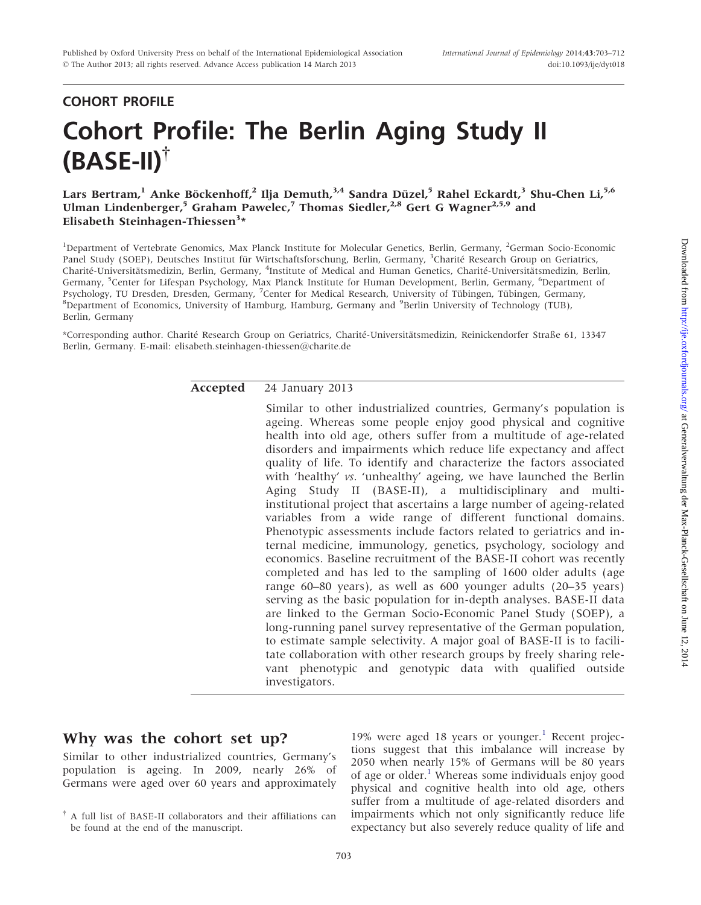### COHORT PROFILE

# Cohort Profile: The Berlin Aging Study II  $(BASE-II)^{\dagger}$

Lars Bertram,<sup>1</sup> Anke Böckenhoff,<sup>2</sup> Ilja Demuth,<sup>3,4</sup> Sandra Düzel,<sup>5</sup> Rahel Eckardt,<sup>3</sup> Shu-Chen Li,<sup>5,6</sup> Ulman Lindenberger,<sup>5</sup> Graham Pawelec,<sup>7</sup> Thomas Siedler,<sup>2,8</sup> Gert G Wagner<sup>2,5,9</sup> and Elisabeth Steinhagen-Thiessen<sup>3</sup>\*

<sup>1</sup>Department of Vertebrate Genomics, Max Planck Institute for Molecular Genetics, Berlin, Germany, <sup>2</sup>German Socio-Economic Panel Study (SOEP), Deutsches Institut für Wirtschaftsforschung, Berlin, Germany, <sup>3</sup>Charité Research Group on Geriatrics, Charité-Universitätsmedizin, Berlin, Germany, <sup>4</sup>Institute of Medical and Human Genetics, Charité-Universitätsmedizin, Berlin, Germany, <sup>5</sup>Center for Lifespan Psychology, Max Planck Institute for Human Development, Berlin, Germany, <sup>6</sup>Department of Psychology, TU Dresden, Dresden, Germany, <sup>7</sup>Center for Medical Research, University of Tübingen, Tübingen, Germany,<br><sup>8</sup>Department of Economics, University of Hamburg, Hamburg, Germany and <sup>9</sup>Perlin University of Technolog Department of Economics, University of Hamburg, Hamburg, Germany and <sup>9</sup>Berlin University of Technology (TUB), Berlin, Germany

\*Corresponding author. Charite´ Research Group on Geriatrics, Charite´-Universita¨tsmedizin, Reinickendorfer Straße 61, 13347 Berlin, Germany. E-mail: elisabeth.steinhagen-thiessen@charite.de

#### Accepted 24 January 2013

Similar to other industrialized countries, Germany's population is ageing. Whereas some people enjoy good physical and cognitive health into old age, others suffer from a multitude of age-related disorders and impairments which reduce life expectancy and affect quality of life. To identify and characterize the factors associated with 'healthy' vs. 'unhealthy' ageing, we have launched the Berlin Aging Study II (BASE-II), a multidisciplinary and multiinstitutional project that ascertains a large number of ageing-related variables from a wide range of different functional domains. Phenotypic assessments include factors related to geriatrics and internal medicine, immunology, genetics, psychology, sociology and economics. Baseline recruitment of the BASE-II cohort was recently completed and has led to the sampling of 1600 older adults (age range 60–80 years), as well as 600 younger adults (20–35 years) serving as the basic population for in-depth analyses. BASE-II data are linked to the German Socio-Economic Panel Study (SOEP), a long-running panel survey representative of the German population, to estimate sample selectivity. A major goal of BASE-II is to facilitate collaboration with other research groups by freely sharing relevant phenotypic and genotypic data with qualified outside investigators.

#### Why was the cohort set up?

Similar to other industrialized countries, Germany's population is ageing. In 2009, nearly 26% of Germans were aged over 60 years and approximately

[1](#page-8-0)9% were aged 18 years or younger.<sup>1</sup> Recent projections suggest that this imbalance will increase by 2050 when nearly 15% of Germans will be 80 years of age or older.<sup>[1](#page-8-0)</sup> Whereas some individuals enjoy good physical and cognitive health into old age, others suffer from a multitude of age-related disorders and impairments which not only significantly reduce life expectancy but also severely reduce quality of life and

 $^{\dagger}$  A full list of BASE-II collaborators and their affiliations can be found at the end of the manuscript.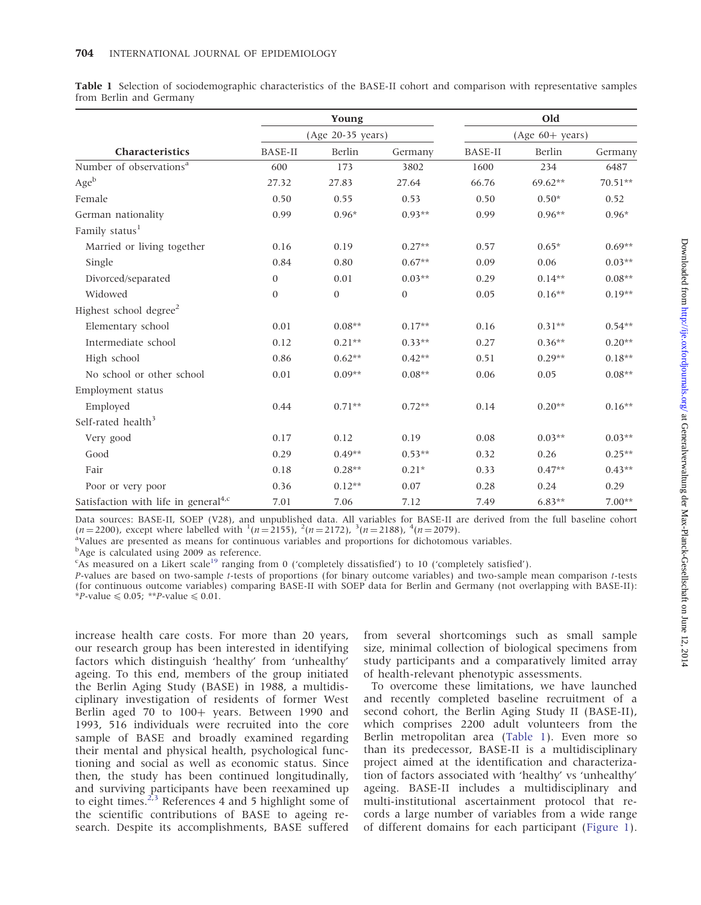|                                                  | Young<br>(Age 20-35 years) |              |                  | Old<br>$(Age 60+ years)$ |           |           |
|--------------------------------------------------|----------------------------|--------------|------------------|--------------------------|-----------|-----------|
| Characteristics                                  |                            |              |                  |                          |           |           |
|                                                  | BASE-II                    | Berlin       | Germany          | BASE-II                  | Berlin    | Germany   |
| Number of observations <sup>a</sup>              | 600                        | 173          | 3802             | 1600                     | 234       | 6487      |
| Ageb                                             | 27.32                      | 27.83        | 27.64            | 66.76                    | $69.62**$ | $70.51**$ |
| Female                                           | 0.50                       | 0.55         | 0.53             | 0.50                     | $0.50*$   | 0.52      |
| German nationality                               | 0.99                       | $0.96*$      | $0.93**$         | 0.99                     | $0.96**$  | $0.96*$   |
| Family status <sup>1</sup>                       |                            |              |                  |                          |           |           |
| Married or living together                       | 0.16                       | 0.19         | $0.27**$         | 0.57                     | $0.65*$   | $0.69**$  |
| Single                                           | 0.84                       | 0.80         | $0.67**$         | 0.09                     | 0.06      | $0.03**$  |
| Divorced/separated                               | $\boldsymbol{0}$           | 0.01         | $0.03**$         | 0.29                     | $0.14**$  | $0.08**$  |
| Widowed                                          | $\mathbf{0}$               | $\mathbf{0}$ | $\boldsymbol{0}$ | 0.05                     | $0.16**$  | $0.19**$  |
| Highest school degree <sup>2</sup>               |                            |              |                  |                          |           |           |
| Elementary school                                | 0.01                       | $0.08**$     | $0.17**$         | 0.16                     | $0.31**$  | $0.54**$  |
| Intermediate school                              | 0.12                       | $0.21**$     | $0.33**$         | 0.27                     | $0.36**$  | $0.20**$  |
| High school                                      | 0.86                       | $0.62**$     | $0.42**$         | 0.51                     | $0.29**$  | $0.18**$  |
| No school or other school                        | 0.01                       | $0.09**$     | $0.08**$         | 0.06                     | 0.05      | $0.08**$  |
| Employment status                                |                            |              |                  |                          |           |           |
| Employed                                         | 0.44                       | $0.71**$     | $0.72**$         | 0.14                     | $0.20**$  | $0.16**$  |
| Self-rated health <sup>3</sup>                   |                            |              |                  |                          |           |           |
| Very good                                        | 0.17                       | 0.12         | 0.19             | 0.08                     | $0.03**$  | $0.03**$  |
| Good                                             | 0.29                       | $0.49**$     | $0.53**$         | 0.32                     | 0.26      | $0.25**$  |
| Fair                                             | 0.18                       | $0.28**$     | $0.21*$          | 0.33                     | $0.47**$  | $0.43**$  |
| Poor or very poor                                | 0.36                       | $0.12**$     | 0.07             | 0.28                     | 0.24      | 0.29      |
| Satisfaction with life in general <sup>4,c</sup> | 7.01                       | 7.06         | 7.12             | 7.49                     | $6.83**$  | $7.00**$  |

<span id="page-1-0"></span>Table 1 Selection of sociodemographic characteristics of the BASE-II cohort and comparison with representative samples from Berlin and Germany

Data sources: BASE-II, SOEP (V28), and unpublished data. All variables for BASE-II are derived from the full baseline cohort  $(n = 2200)$ , except where labelled with  $\frac{1}{n}$   $(n = 2155)$ ,  $\frac{2}{n}$   $(n = 2172)$ ,  $\frac{3}{n}$   $(n = 2188)$ ,  $\frac{4}{n}$   $(n = 2079)$ .

<sup>a</sup>Values are presented as means for continuous variables and proportions for dichotomous variables.

<sup>b</sup>Age is calculated using 2009 as reference.

<sup>c</sup>As measured on a Likert scale<sup>[19](#page-9-0)</sup> ranging from 0 ('completely dissatisfied') to 10 ('completely satisfied').

P-values are based on two-sample t-tests of proportions (for binary outcome variables) and two-sample mean comparison t-tests (for continuous outcome variables) comparing BASE-II with SOEP data for Berlin and Germany (not overlapping with BASE-II): \**P*-value  $\le 0.05$ ; \*\**P*-value  $\le 0.01$ .

increase health care costs. For more than 20 years, our research group has been interested in identifying factors which distinguish 'healthy' from 'unhealthy' ageing. To this end, members of the group initiated the Berlin Aging Study (BASE) in 1988, a multidisciplinary investigation of residents of former West Berlin aged 70 to 100+ years. Between 1990 and 1993, 516 individuals were recruited into the core sample of BASE and broadly examined regarding their mental and physical health, psychological functioning and social as well as economic status. Since then, the study has been continued longitudinally, and surviving participants have been reexamined up to eight times.<sup>[2,3](#page-8-0)</sup> References 4 and 5 highlight some of the scientific contributions of BASE to ageing research. Despite its accomplishments, BASE suffered

from several shortcomings such as small sample size, minimal collection of biological specimens from study participants and a comparatively limited array of health-relevant phenotypic assessments.

To overcome these limitations, we have launched and recently completed baseline recruitment of a second cohort, the Berlin Aging Study II (BASE-II), which comprises 2200 adult volunteers from the Berlin metropolitan area (Table 1). Even more so than its predecessor, BASE-II is a multidisciplinary project aimed at the identification and characterization of factors associated with 'healthy' vs 'unhealthy' ageing. BASE-II includes a multidisciplinary and multi-institutional ascertainment protocol that records a large number of variables from a wide range of different domains for each participant ([Figure 1](#page-2-0)).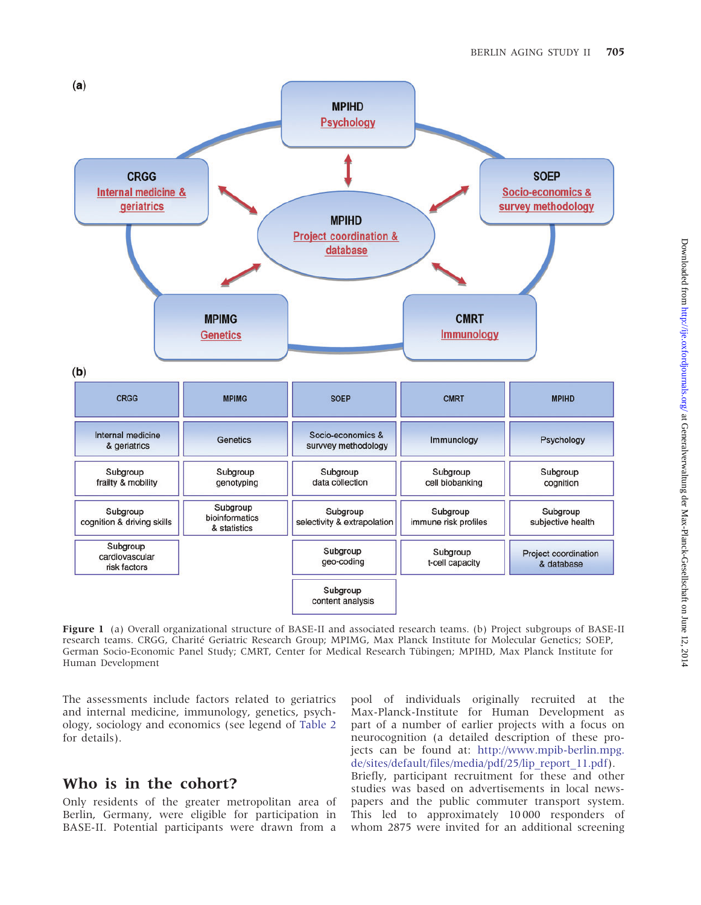<span id="page-2-0"></span>

Figure 1 (a) Overall organizational structure of BASE-II and associated research teams. (b) Project subgroups of BASE-II research teams. CRGG, Charité Geriatric Research Group; MPIMG, Max Planck Institute for Molecular Genetics; SOEP, German Socio-Economic Panel Study; CMRT, Center for Medical Research Tübingen; MPIHD, Max Planck Institute for Human Development

The assessments include factors related to geriatrics and internal medicine, immunology, genetics, psychology, sociology and economics (see legend of [Table 2](#page-3-0) for details).

#### Who is in the cohort?

Only residents of the greater metropolitan area of Berlin, Germany, were eligible for participation in BASE-II. Potential participants were drawn from a

pool of individuals originally recruited at the Max-Planck-Institute for Human Development as part of a number of earlier projects with a focus on neurocognition (a detailed description of these projects can be found at: [http://www.mpib-berlin.mpg.](http://www.mpib-berlin.mpg.de/sites/default/files/media/pdf/25/lip_report_11.pdf) [de/sites/default/files/media/pdf/25/lip\\_report\\_11.pdf](http://www.mpib-berlin.mpg.de/sites/default/files/media/pdf/25/lip_report_11.pdf)).

Briefly, participant recruitment for these and other studies was based on advertisements in local newspapers and the public commuter transport system. This led to approximately 10 000 responders of whom 2875 were invited for an additional screening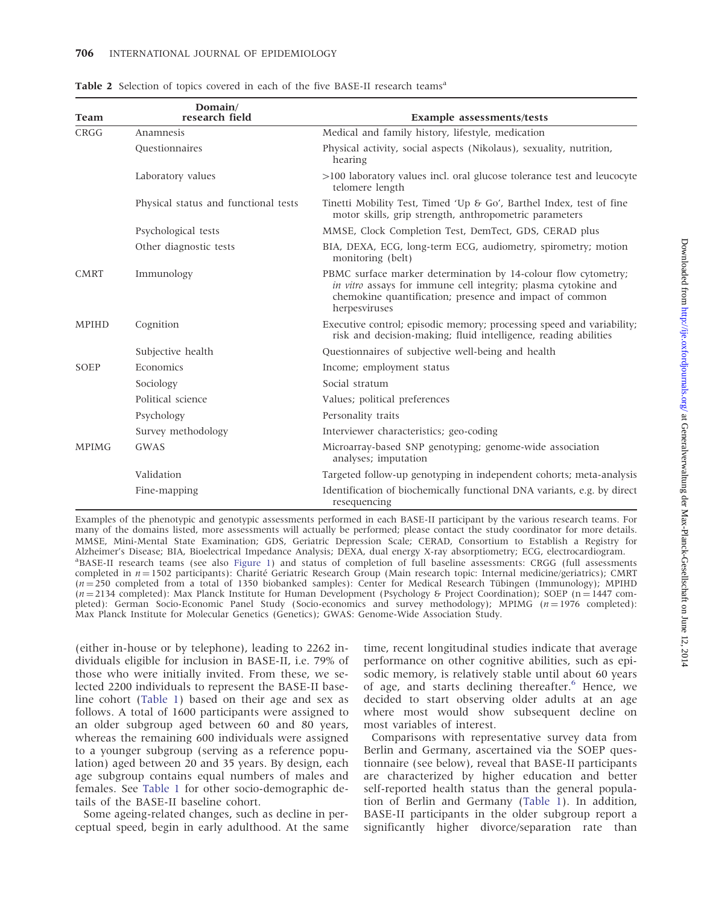| <b>Team</b>  | Domain/<br>research field            | Example assessments/tests                                                                                                                                                                                    |
|--------------|--------------------------------------|--------------------------------------------------------------------------------------------------------------------------------------------------------------------------------------------------------------|
| <b>CRGG</b>  | Anamnesis                            | Medical and family history, lifestyle, medication                                                                                                                                                            |
|              | Questionnaires                       | Physical activity, social aspects (Nikolaus), sexuality, nutrition,<br>hearing                                                                                                                               |
|              | Laboratory values                    | >100 laboratory values incl. oral glucose tolerance test and leucocyte<br>telomere length                                                                                                                    |
|              | Physical status and functional tests | Tinetti Mobility Test, Timed 'Up & Go', Barthel Index, test of fine<br>motor skills, grip strength, anthropometric parameters                                                                                |
|              | Psychological tests                  | MMSE, Clock Completion Test, DemTect, GDS, CERAD plus                                                                                                                                                        |
|              | Other diagnostic tests               | BIA, DEXA, ECG, long-term ECG, audiometry, spirometry; motion<br>monitoring (belt)                                                                                                                           |
| <b>CMRT</b>  | Immunology                           | PBMC surface marker determination by 14-colour flow cytometry;<br>in vitro assays for immune cell integrity; plasma cytokine and<br>chemokine quantification; presence and impact of common<br>herpesviruses |
| MPIHD        | Cognition                            | Executive control; episodic memory; processing speed and variability;<br>risk and decision-making; fluid intelligence, reading abilities                                                                     |
|              | Subjective health                    | Questionnaires of subjective well-being and health                                                                                                                                                           |
| SOEP         | Economics                            | Income; employment status                                                                                                                                                                                    |
|              | Sociology                            | Social stratum                                                                                                                                                                                               |
|              | Political science                    | Values; political preferences                                                                                                                                                                                |
|              | Psychology                           | Personality traits                                                                                                                                                                                           |
|              | Survey methodology                   | Interviewer characteristics; geo-coding                                                                                                                                                                      |
| <b>MPIMG</b> | <b>GWAS</b>                          | Microarray-based SNP genotyping; genome-wide association<br>analyses; imputation                                                                                                                             |
|              | Validation                           | Targeted follow-up genotyping in independent cohorts; meta-analysis                                                                                                                                          |
|              | Fine-mapping                         | Identification of biochemically functional DNA variants, e.g. by direct<br>resequencing                                                                                                                      |

<span id="page-3-0"></span>Table 2 Selection of topics covered in each of the five BASE-II research teams<sup>a</sup>

Examples of the phenotypic and genotypic assessments performed in each BASE-II participant by the various research teams. For many of the domains listed, more assessments will actually be performed; please contact the study coordinator for more details. MMSE, Mini-Mental State Examination; GDS, Geriatric Depression Scale; CERAD, Consortium to Establish a Registry for Alzheimer's Disease; BIA, Bioelectrical Impedance Analysis; DEXA, dual energy X-ray absorptiometry; ECG, electrocardiogram. <sup>a</sup>BASE-II research teams (see also [Figure 1\)](#page-2-0) and status of completion of full baseline assessments: CRGG (full assessments completed in  $n = 1502$  participants): Charité Geriatric Research Group (Main research topic: Internal medicine/geriatrics); CMRT  $(n=250$  completed from a total of 1350 biobanked samples): Center for Medical Research Tübingen (Immunology); MPIHD  $(n = 2134 \text{ completed})$ : Max Planck Institute for Human Development (Psychology & Project Coordination); SOEP (n = 1447 completed): German Socio-Economic Panel Study (Socio-economics and survey methodology); MPIMG ( $n = 1976$  completed): Max Planck Institute for Molecular Genetics (Genetics); GWAS: Genome-Wide Association Study.

(either in-house or by telephone), leading to 2262 individuals eligible for inclusion in BASE-II, i.e. 79% of those who were initially invited. From these, we selected 2200 individuals to represent the BASE-II baseline cohort [\(Table 1\)](#page-1-0) based on their age and sex as follows. A total of 1600 participants were assigned to an older subgroup aged between 60 and 80 years, whereas the remaining 600 individuals were assigned to a younger subgroup (serving as a reference population) aged between 20 and 35 years. By design, each age subgroup contains equal numbers of males and females. See [Table 1](#page-1-0) for other socio-demographic details of the BASE-II baseline cohort.

Some ageing-related changes, such as decline in perceptual speed, begin in early adulthood. At the same

time, recent longitudinal studies indicate that average performance on other cognitive abilities, such as episodic memory, is relatively stable until about 60 years of age, and starts declining thereafter.<sup>[6](#page-8-0)</sup> Hence, we decided to start observing older adults at an age where most would show subsequent decline on most variables of interest.

Comparisons with representative survey data from Berlin and Germany, ascertained via the SOEP questionnaire (see below), reveal that BASE-II participants are characterized by higher education and better self-reported health status than the general population of Berlin and Germany [\(Table 1](#page-1-0)). In addition, BASE-II participants in the older subgroup report a significantly higher divorce/separation rate than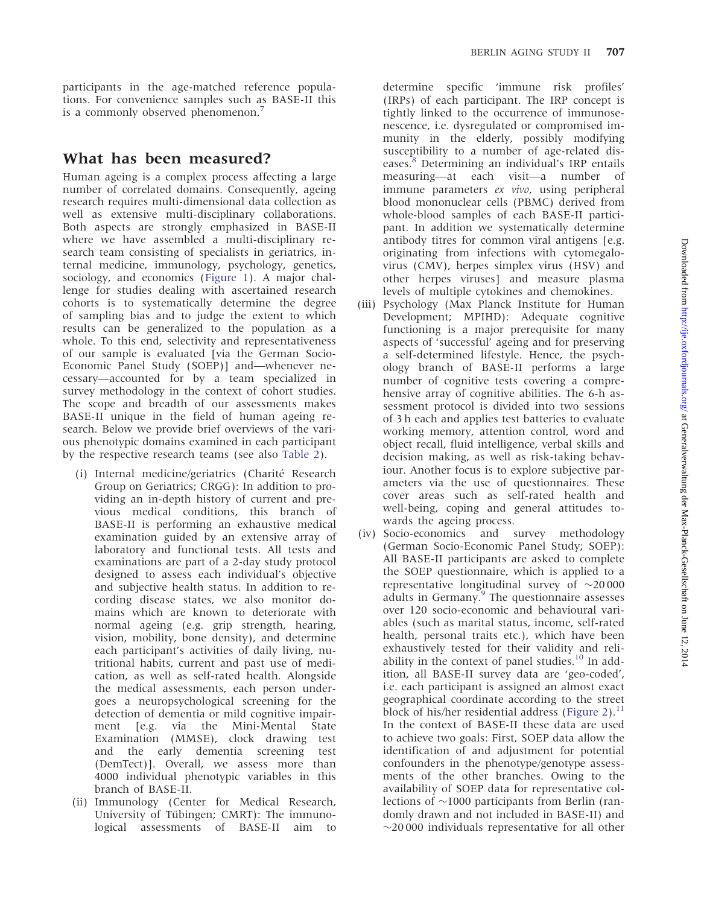participants in the age-matched reference populations. For convenience samples such as BASE-II this is a commonly observed phenomenon.<sup>[7](#page-8-0)</sup>

#### What has been measured?

Human ageing is a complex process affecting a large number of correlated domains. Consequently, ageing research requires multi-dimensional data collection as well as extensive multi-disciplinary collaborations. Both aspects are strongly emphasized in BASE-II where we have assembled a multi-disciplinary research team consisting of specialists in geriatrics, internal medicine, immunology, psychology, genetics, sociology, and economics [\(Figure 1](#page-2-0)). A major challenge for studies dealing with ascertained research cohorts is to systematically determine the degree of sampling bias and to judge the extent to which results can be generalized to the population as a whole. To this end, selectivity and representativeness of our sample is evaluated [via the German Socio-Economic Panel Study (SOEP)] and—whenever necessary—accounted for by a team specialized in survey methodology in the context of cohort studies. The scope and breadth of our assessments makes BASE-II unique in the field of human ageing research. Below we provide brief overviews of the various phenotypic domains examined in each participant by the respective research teams (see also [Table 2](#page-3-0)).

- (i) Internal medicine/geriatrics (Charité Research Group on Geriatrics; CRGG): In addition to providing an in-depth history of current and previous medical conditions, this branch of BASE-II is performing an exhaustive medical examination guided by an extensive array of laboratory and functional tests. All tests and examinations are part of a 2-day study protocol designed to assess each individual's objective and subjective health status. In addition to recording disease states, we also monitor domains which are known to deteriorate with normal ageing (e.g. grip strength, hearing, vision, mobility, bone density), and determine each participant's activities of daily living, nutritional habits, current and past use of medication, as well as self-rated health. Alongside the medical assessments, each person undergoes a neuropsychological screening for the detection of dementia or mild cognitive impairment [e.g. via the Mini-Mental State Examination (MMSE), clock drawing test and the early dementia screening test (DemTect)]. Overall, we assess more than 4000 individual phenotypic variables in this branch of BASE-II.
- (ii) Immunology (Center for Medical Research, University of Tübingen; CMRT): The immunological assessments of BASE-II aim to

determine specific 'immune risk profiles' (IRPs) of each participant. The IRP concept is tightly linked to the occurrence of immunosenescence, i.e. dysregulated or compromised immunity in the elderly, possibly modifying susceptibility to a number of age-related diseases.[8](#page-8-0) Determining an individual's IRP entails measuring—at each visit—a number of immune parameters ex vivo, using peripheral blood mononuclear cells (PBMC) derived from whole-blood samples of each BASE-II participant. In addition we systematically determine antibody titres for common viral antigens [e.g. originating from infections with cytomegalovirus (CMV), herpes simplex virus (HSV) and other herpes viruses] and measure plasma levels of multiple cytokines and chemokines.

- (iii) Psychology (Max Planck Institute for Human Development; MPIHD): Adequate cognitive functioning is a major prerequisite for many aspects of 'successful' ageing and for preserving a self-determined lifestyle. Hence, the psychology branch of BASE-II performs a large number of cognitive tests covering a comprehensive array of cognitive abilities. The 6-h assessment protocol is divided into two sessions of 3 h each and applies test batteries to evaluate working memory, attention control, word and object recall, fluid intelligence, verbal skills and decision making, as well as risk-taking behaviour. Another focus is to explore subjective parameters via the use of questionnaires. These cover areas such as self-rated health and well-being, coping and general attitudes towards the ageing process.
- (iv) Socio-economics and survey methodology (German Socio-Economic Panel Study; SOEP): All BASE-II participants are asked to complete the SOEP questionnaire, which is applied to a representative longitudinal survey of  $\sim$ 20000 adults in Germany.<sup>[9](#page-8-0)</sup> The questionnaire assesses over 120 socio-economic and behavioural variables (such as marital status, income, self-rated health, personal traits etc.), which have been exhaustively tested for their validity and reliability in the context of panel studies. $10$  In addition, all BASE-II survey data are 'geo-coded', i.e. each participant is assigned an almost exact geographical coordinate according to the street block of his/her residential address [\(Figure 2](#page-5-0)). $^{11}$  $^{11}$  $^{11}$ In the context of BASE-II these data are used to achieve two goals: First, SOEP data allow the identification of and adjustment for potential confounders in the phenotype/genotype assessments of the other branches. Owing to the availability of SOEP data for representative collections of  $\sim$ 1000 participants from Berlin (randomly drawn and not included in BASE-II) and  $\sim$ 20 000 individuals representative for all other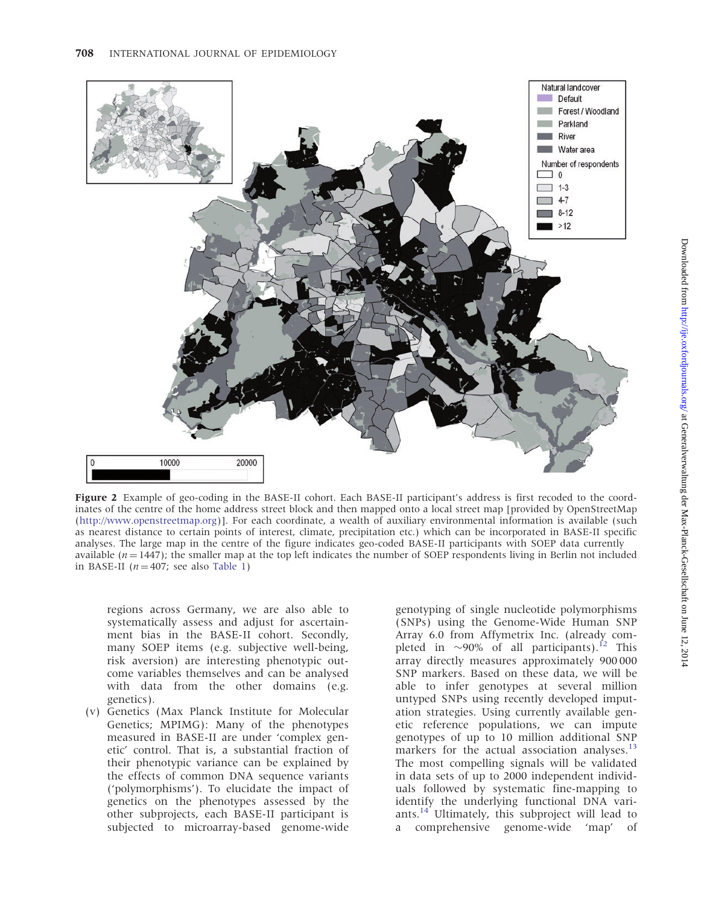<span id="page-5-0"></span>

Figure 2 Example of geo-coding in the BASE-II cohort. Each BASE-II participant's address is first recoded to the coordinates of the centre of the home address street block and then mapped onto a local street map [provided by OpenStreetMap ([http://www.openstreetmap.org\)](http://www.openstreetmap.org)]. For each coordinate, a wealth of auxiliary environmental information is available (such as nearest distance to certain points of interest, climate, precipitation etc.) which can be incorporated in BASE-II specific analyses. The large map in the centre of the figure indicates geo-coded BASE-II participants with SOEP data currently available ( $n = 1447$ ); the smaller map at the top left indicates the number of SOEP respondents living in Berlin not included in BASE-II ( $n = 407$ ; see also [Table 1](#page-1-0))

regions across Germany, we are also able to systematically assess and adjust for ascertainment bias in the BASE-II cohort. Secondly, many SOEP items (e.g. subjective well-being, risk aversion) are interesting phenotypic outcome variables themselves and can be analysed with data from the other domains (e.g. genetics).

(v) Genetics (Max Planck Institute for Molecular Genetics; MPIMG): Many of the phenotypes measured in BASE-II are under 'complex genetic' control. That is, a substantial fraction of their phenotypic variance can be explained by the effects of common DNA sequence variants ('polymorphisms'). To elucidate the impact of genetics on the phenotypes assessed by the other subprojects, each BASE-II participant is subjected to microarray-based genome-wide genotyping of single nucleotide polymorphisms (SNPs) using the Genome-Wide Human SNP Array 6.0 from Affymetrix Inc. (already completed in  $\sim$ 90% of all participants).<sup>[12](#page-8-0)</sup> This array directly measures approximately 900 000 SNP markers. Based on these data, we will be able to infer genotypes at several million untyped SNPs using recently developed imputation strategies. Using currently available genetic reference populations, we can impute genotypes of up to 10 million additional SNP markers for the actual association analyses.<sup>[13](#page-8-0)</sup> The most compelling signals will be validated in data sets of up to 2000 independent individuals followed by systematic fine-mapping to identify the underlying functional DNA variants.[14](#page-8-0) Ultimately, this subproject will lead to a comprehensive genome-wide 'map' of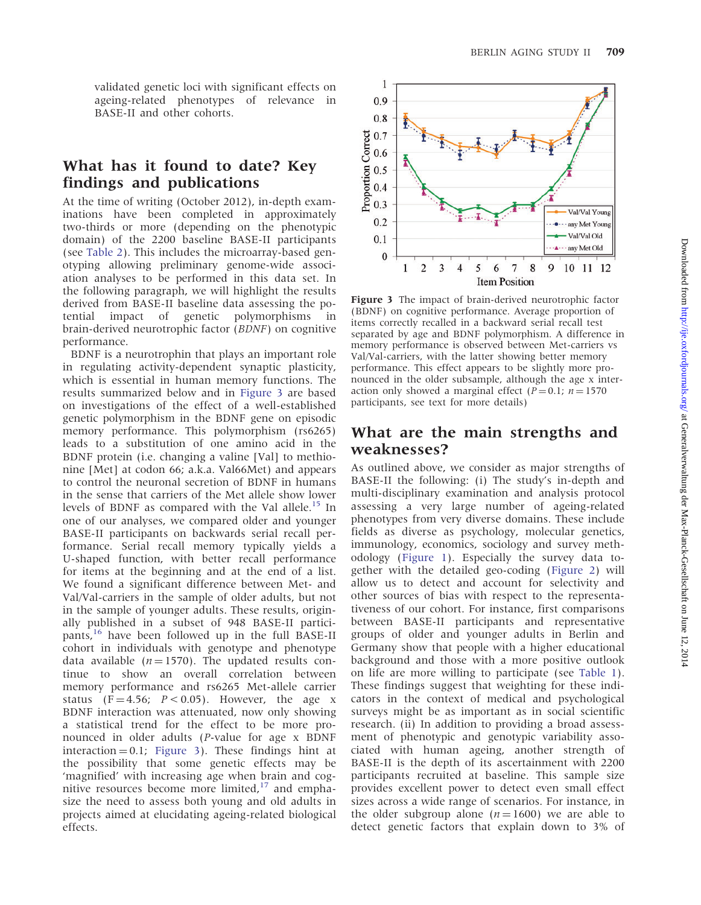validated genetic loci with significant effects on ageing-related phenotypes of relevance in BASE-II and other cohorts.

#### What has it found to date? Key findings and publications

At the time of writing (October 2012), in-depth examinations have been completed in approximately two-thirds or more (depending on the phenotypic domain) of the 2200 baseline BASE-II participants (see [Table 2](#page-3-0)). This includes the microarray-based genotyping allowing preliminary genome-wide association analyses to be performed in this data set. In the following paragraph, we will highlight the results derived from BASE-II baseline data assessing the potential impact of genetic polymorphisms in brain-derived neurotrophic factor (BDNF) on cognitive performance.

BDNF is a neurotrophin that plays an important role in regulating activity-dependent synaptic plasticity, which is essential in human memory functions. The results summarized below and in Figure 3 are based on investigations of the effect of a well-established genetic polymorphism in the BDNF gene on episodic memory performance. This polymorphism (rs6265) leads to a substitution of one amino acid in the BDNF protein (i.e. changing a valine [Val] to methionine [Met] at codon 66; a.k.a. Val66Met) and appears to control the neuronal secretion of BDNF in humans in the sense that carriers of the Met allele show lower levels of BDNF as compared with the Val allele.<sup>15</sup> In one of our analyses, we compared older and younger BASE-II participants on backwards serial recall performance. Serial recall memory typically yields a U-shaped function, with better recall performance for items at the beginning and at the end of a list. We found a significant difference between Met- and Val/Val-carriers in the sample of older adults, but not in the sample of younger adults. These results, originally published in a subset of 948 BASE-II partici-pants,<sup>[16](#page-9-0)</sup> have been followed up in the full BASE-II cohort in individuals with genotype and phenotype data available ( $n = 1570$ ). The updated results continue to show an overall correlation between memory performance and rs6265 Met-allele carrier status (F = 4.56;  $P < 0.05$ ). However, the age x BDNF interaction was attenuated, now only showing a statistical trend for the effect to be more pronounced in older adults (P-value for age x BDNF  $interaction = 0.1$ ; Figure 3). These findings hint at the possibility that some genetic effects may be 'magnified' with increasing age when brain and cognitive resources become more limited, $17$  and emphasize the need to assess both young and old adults in projects aimed at elucidating ageing-related biological effects.



Figure 3 The impact of brain-derived neurotrophic factor (BDNF) on cognitive performance. Average proportion of items correctly recalled in a backward serial recall test separated by age and BDNF polymorphism. A difference in memory performance is observed between Met-carriers vs Val/Val-carriers, with the latter showing better memory performance. This effect appears to be slightly more pronounced in the older subsample, although the age x interaction only showed a marginal effect ( $P = 0.1$ ;  $n = 1570$ participants, see text for more details)

### What are the main strengths and weaknesses?

As outlined above, we consider as major strengths of BASE-II the following: (i) The study's in-depth and multi-disciplinary examination and analysis protocol assessing a very large number of ageing-related phenotypes from very diverse domains. These include fields as diverse as psychology, molecular genetics, immunology, economics, sociology and survey methodology [\(Figure 1\)](#page-2-0). Especially the survey data together with the detailed geo-coding ([Figure 2](#page-5-0)) will allow us to detect and account for selectivity and other sources of bias with respect to the representativeness of our cohort. For instance, first comparisons between BASE-II participants and representative groups of older and younger adults in Berlin and Germany show that people with a higher educational background and those with a more positive outlook on life are more willing to participate (see [Table 1](#page-1-0)). These findings suggest that weighting for these indicators in the context of medical and psychological surveys might be as important as in social scientific research. (ii) In addition to providing a broad assessment of phenotypic and genotypic variability associated with human ageing, another strength of BASE-II is the depth of its ascertainment with 2200 participants recruited at baseline. This sample size provides excellent power to detect even small effect sizes across a wide range of scenarios. For instance, in the older subgroup alone  $(n = 1600)$  we are able to detect genetic factors that explain down to 3% of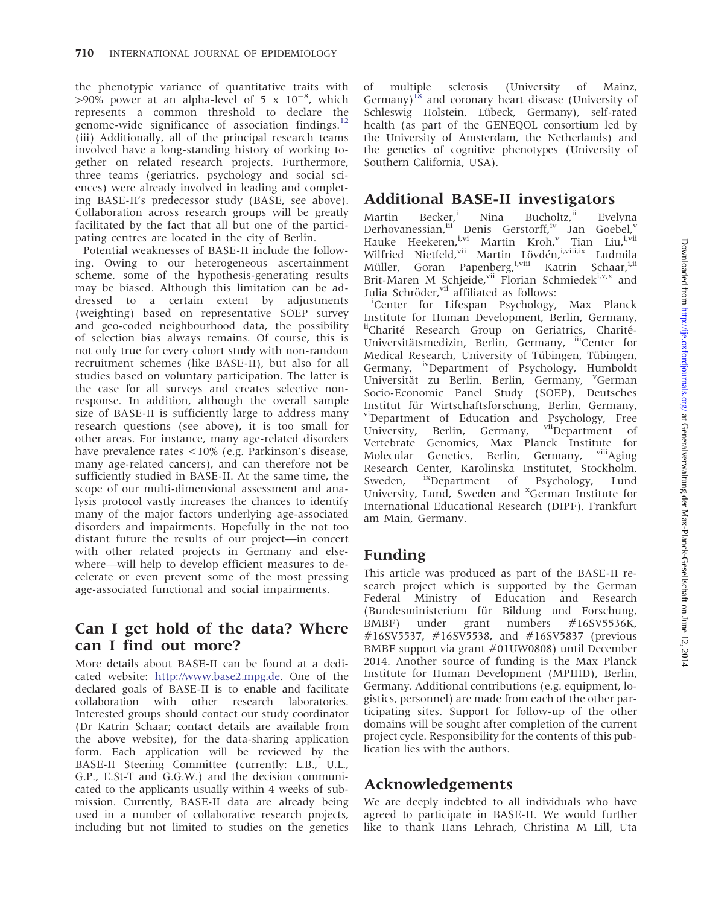the phenotypic variance of quantitative traits with  $>90\%$  power at an alpha-level of 5 x 10<sup>-8</sup>, which represents a common threshold to declare the genome-wide significance of association findings.<sup>[12](#page-8-0)</sup> (iii) Additionally, all of the principal research teams involved have a long-standing history of working together on related research projects. Furthermore, three teams (geriatrics, psychology and social sciences) were already involved in leading and completing BASE-II's predecessor study (BASE, see above). Collaboration across research groups will be greatly facilitated by the fact that all but one of the participating centres are located in the city of Berlin.

Potential weaknesses of BASE-II include the following. Owing to our heterogeneous ascertainment scheme, some of the hypothesis-generating results may be biased. Although this limitation can be addressed to a certain extent by adjustments (weighting) based on representative SOEP survey and geo-coded neighbourhood data, the possibility of selection bias always remains. Of course, this is not only true for every cohort study with non-random recruitment schemes (like BASE-II), but also for all studies based on voluntary participation. The latter is the case for all surveys and creates selective nonresponse. In addition, although the overall sample size of BASE-II is sufficiently large to address many research questions (see above), it is too small for other areas. For instance, many age-related disorders have prevalence rates <10% (e.g. Parkinson's disease, many age-related cancers), and can therefore not be sufficiently studied in BASE-II. At the same time, the scope of our multi-dimensional assessment and analysis protocol vastly increases the chances to identify many of the major factors underlying age-associated disorders and impairments. Hopefully in the not too distant future the results of our project—in concert with other related projects in Germany and elsewhere—will help to develop efficient measures to decelerate or even prevent some of the most pressing age-associated functional and social impairments.

## Can I get hold of the data? Where can I find out more?

More details about BASE-II can be found at a dedicated website: [http://www.base2.mpg.de.](www.base2.mpg.de) One of the declared goals of BASE-II is to enable and facilitate collaboration with other research laboratories. Interested groups should contact our study coordinator (Dr Katrin Schaar; contact details are available from the above website), for the data-sharing application form. Each application will be reviewed by the BASE-II Steering Committee (currently: L.B., U.L., G.P., E.St-T and G.G.W.) and the decision communicated to the applicants usually within 4 weeks of submission. Currently, BASE-II data are already being used in a number of collaborative research projects, including but not limited to studies on the genetics of multiple sclerosis (University of Mainz, Germany)<sup>18</sup> and coronary heart disease (University of Schleswig Holstein, Lübeck, Germany), self-rated health (as part of the GENEQOL consortium led by the University of Amsterdam, the Netherlands) and the genetics of cognitive phenotypes (University of Southern California, USA).

### Additional BASE-II investigators

Martin Becker,<sup>i</sup> Nina Bucholtz,<sup>ii</sup> Evelyna Derhovanessian,<sup>iii</sup> Denis Gerstorff,<sup>iv</sup> Jan Goebel,<sup>v</sup> Hauke Heekeren,<sup>i,vi</sup> Martin Kroh,<sup>v</sup> Tian Liu,<sup>i,vii</sup> Wilfried Nietfeld,<sup>vii</sup> Martin Lövdén,<sup>i,viii,ix</sup> Ludmila Müller, Goran Papenberg,<sup>i,viii</sup> Katrin Schaar,<sup>i,ii</sup> Brit-Maren M Schjeide,<sup>vii</sup> Florian Schmiedek<sup>i,v,x</sup> and Julia Schröder.<sup>vii</sup> affiliated as follows:

<sup>i</sup>Center for Lifespan Psychology, Max Planck Institute for Human Development, Berlin, Germany, iiCharité Research Group on Geriatrics, Charité-Universitätsmedizin, Berlin, Germany, iiiCenter for Medical Research, University of Tübingen, Tübingen, Germany, ivDepartment of Psychology, Humboldt Universität zu Berlin, Berlin, Germany, <sup>v</sup>German Socio-Economic Panel Study (SOEP), Deutsches Institut für Wirtschaftsforschung, Berlin, Germany, <sup>vi</sup>Department of Education and Psychology, Free<br>University, Berlin, Germany, <sup>vii</sup>Department of University, Berlin, Germany, Vertebrate Genomics, Max Planck Institute for<br>Molecular Genetics, Berlin, Germany, <sup>viii</sup>Aging Molecular Genetics, Berlin, Germany, Research Center, Karolinska Institutet, Stockholm, Sweden, <sup>ix</sup>Department of Psychology, Lund University, Lund, Sweden and <sup>x</sup>German Institute for International Educational Research (DIPF), Frankfurt am Main, Germany.

## Funding

This article was produced as part of the BASE-II research project which is supported by the German Federal Ministry of Education and Research (Bundesministerium für Bildung und Forschung, BMBF) under grant numbers #16SV5536K, #16SV5537, #16SV5538, and #16SV5837 (previous BMBF support via grant #01UW0808) until December 2014. Another source of funding is the Max Planck Institute for Human Development (MPIHD), Berlin, Germany. Additional contributions (e.g. equipment, logistics, personnel) are made from each of the other participating sites. Support for follow-up of the other domains will be sought after completion of the current project cycle. Responsibility for the contents of this publication lies with the authors.

# Acknowledgements

We are deeply indebted to all individuals who have agreed to participate in BASE-II. We would further like to thank Hans Lehrach, Christina M Lill, Uta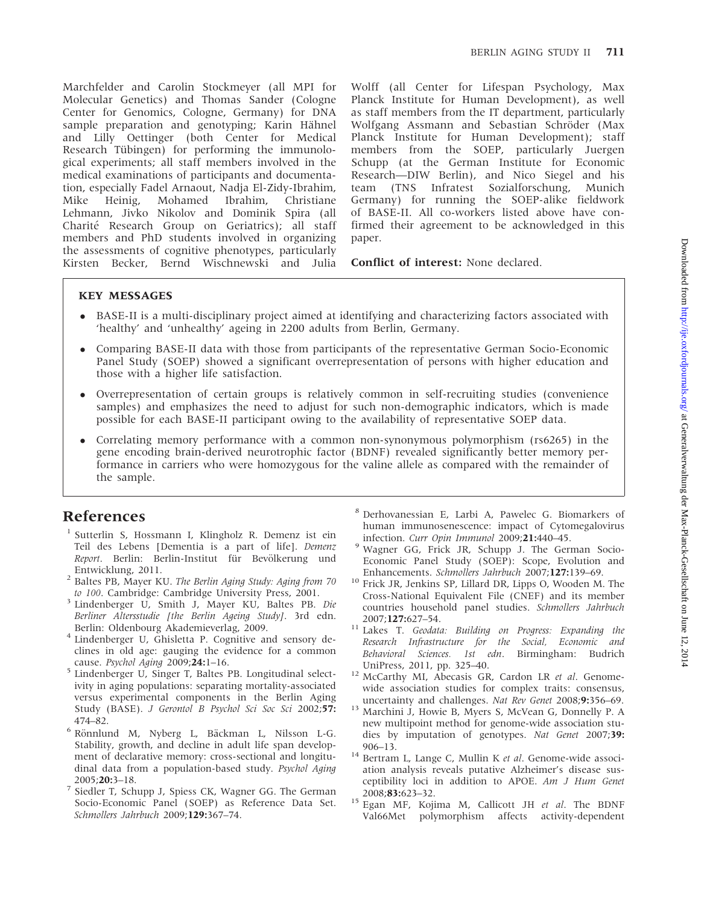<span id="page-8-0"></span>Marchfelder and Carolin Stockmeyer (all MPI for Molecular Genetics) and Thomas Sander (Cologne Center for Genomics, Cologne, Germany) for DNA sample preparation and genotyping; Karin Hähnel and Lilly Oettinger (both Center for Medical Research Tübingen) for performing the immunological experiments; all staff members involved in the medical examinations of participants and documentation, especially Fadel Arnaout, Nadja El-Zidy-Ibrahim, Mike Heinig, Mohamed Ibrahim, Christiane Lehmann, Jivko Nikolov and Dominik Spira (all Charité Research Group on Geriatrics); all staff members and PhD students involved in organizing the assessments of cognitive phenotypes, particularly Kirsten Becker, Bernd Wischnewski and Julia Wolff (all Center for Lifespan Psychology, Max Planck Institute for Human Development), as well as staff members from the IT department, particularly Wolfgang Assmann and Sebastian Schröder (Max Planck Institute for Human Development); staff members from the SOEP, particularly Juergen Schupp (at the German Institute for Economic Research—DIW Berlin), and Nico Siegel and his team (TNS Infratest Sozialforschung, Munich Germany) for running the SOEP-alike fieldwork of BASE-II. All co-workers listed above have confirmed their agreement to be acknowledged in this paper.

Conflict of interest: None declared.

#### KEY MESSAGES

- BASE-II is a multi-disciplinary project aimed at identifying and characterizing factors associated with 'healthy' and 'unhealthy' ageing in 2200 adults from Berlin, Germany.
- Comparing BASE-II data with those from participants of the representative German Socio-Economic Panel Study (SOEP) showed a significant overrepresentation of persons with higher education and those with a higher life satisfaction.
- Overrepresentation of certain groups is relatively common in self-recruiting studies (convenience samples) and emphasizes the need to adjust for such non-demographic indicators, which is made possible for each BASE-II participant owing to the availability of representative SOEP data.
- Correlating memory performance with a common non-synonymous polymorphism (rs6265) in the gene encoding brain-derived neurotrophic factor (BDNF) revealed significantly better memory performance in carriers who were homozygous for the valine allele as compared with the remainder of the sample.

#### References

- <sup>1</sup> Sutterlin S, Hossmann I, Klingholz R. Demenz ist ein Teil des Lebens [Dementia is a part of life]. Demenz Report. Berlin: Berlin-Institut für Bevölkerung und
- Entwicklung, 2011.<br><sup>2</sup> Baltes PB, Mayer KU. The Berlin Aging Study: Aging from 70<br>to 100. Cambridge: Cambridge University Press, 2001.
- <sup>3</sup> Lindenberger U, Smith J, Mayer KU, Baltes PB. Die Berliner Altersstudie [the Berlin Ageing Study]. 3rd edn.<br>Berlin: Oldenbourg Akademieverlag. 2009.
- $4$  Lindenberger U, Ghisletta P. Cognitive and sensory declines in old age: gauging the evidence for a common cause. *Psychol Aging* 2009;24:1–16.
- <sup>5</sup> Lindenberger U, Singer T, Baltes PB. Longitudinal selectivity in aging populations: separating mortality-associated versus experimental components in the Berlin Aging Study (BASE). J Gerontol B Psychol Sci Soc Sci 2002;57: 474–82.
- <sup>6</sup> Rönnlund M, Nyberg L, Bäckman L, Nilsson L-G. Stability, growth, and decline in adult life span development of declarative memory: cross-sectional and longitudinal data from a population-based study. Psychol Aging
- 2005;20:3–18.<br>Siedler T, Schupp J, Spiess CK, Wagner GG. The German Socio-Economic Panel (SOEP) as Reference Data Set. Schmollers Jahrbuch 2009;129:367–74.
- <sup>8</sup> Derhovanessian E, Larbi A, Pawelec G. Biomarkers of human immunosenescence: impact of Cytomegalovirus infection. Curr Opin Immunol 2009;21:440-45.
- Wagner GG, Frick JR, Schupp J. The German Socio-Economic Panel Study (SOEP): Scope, Evolution and
- Enhancements. *Schmollers Jahrbuch* 2007;127:139–69.<br><sup>10</sup> Frick JR, Jenkins SP, Lillard DR, Lipps O, Wooden M. The Cross-National Equivalent File (CNEF) and its member countries household panel studies. Schmollers Jahrbuch
- 2007;127:627-54.<br><sup>11</sup> Lakes T. Geodata: Building on Progress: Expanding the Research Infrastructure for the Social, Economic and Behavioral Sciences. 1st edn. Birmingham: Budrich
- UniPress, 2011, pp. 325–40.<br><sup>12</sup> McCarthy MI, Abecasis GR, Cardon LR *et al*. Genomewide association studies for complex traits: consensus, uncertainty and challenges. Nat Rev Genet 2008;9:356–69.
- Marchini J, Howie B, Myers S, McVean G, Donnelly P. A new multipoint method for genome-wide association studies by imputation of genotypes. Nat Genet 2007;39: 906-13.
- $^{14}$  Bertram L, Lange C, Mullin K et al. Genome-wide association analysis reveals putative Alzheimer's disease susceptibility loci in addition to APOE. Am J Hum Genet 2008;83:623–32. <sup>15</sup> Egan MF, Kojima M, Callicott JH et al. The BDNF
- Val66Met polymorphism affects activity-dependent